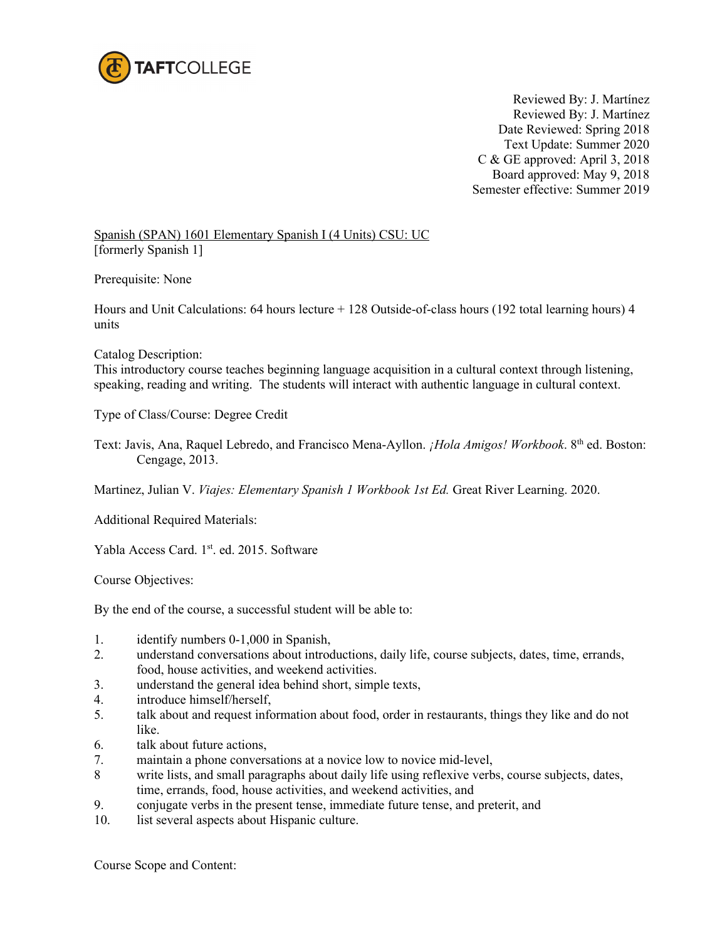

 Reviewed By: J. Martínez Reviewed By: J. Martínez Date Reviewed: Spring 2018 Text Update: Summer 2020 C & GE approved: April 3, 2018 Board approved: May 9, 2018 Semester effective: Summer 2019

Spanish (SPAN) 1601 Elementary Spanish I (4 Units) CSU: UC [formerly Spanish 1]

Prerequisite: None

Hours and Unit Calculations: 64 hours lecture + 128 Outside-of-class hours (192 total learning hours) 4 units

Catalog Description:

This introductory course teaches beginning language acquisition in a cultural context through listening, speaking, reading and writing. The students will interact with authentic language in cultural context.

Type of Class/Course: Degree Credit

Text: Javis, Ana, Raquel Lebredo, and Francisco Mena-Ayllon. *¡Hola Amigos! Workbook*. 8<sup>th</sup> ed. Boston: Cengage, 2013.

Martinez, Julian V. *Viajes: Elementary Spanish 1 Workbook 1st Ed.* Great River Learning. 2020.

Additional Required Materials:

Yabla Access Card. 1st. ed. 2015. Software

Course Objectives:

By the end of the course, a successful student will be able to:

- 1. identify numbers 0-1,000 in Spanish,
- 2. understand conversations about introductions, daily life, course subjects, dates, time, errands, food, house activities, and weekend activities.
- 3. understand the general idea behind short, simple texts,
- 4. introduce himself/herself,
- 5. talk about and request information about food, order in restaurants, things they like and do not like.
- 6. talk about future actions,
- 7. maintain a phone conversations at a novice low to novice mid-level,
- 8 write lists, and small paragraphs about daily life using reflexive verbs, course subjects, dates, time, errands, food, house activities, and weekend activities, and
- 9. conjugate verbs in the present tense, immediate future tense, and preterit, and
- 10. list several aspects about Hispanic culture.

Course Scope and Content: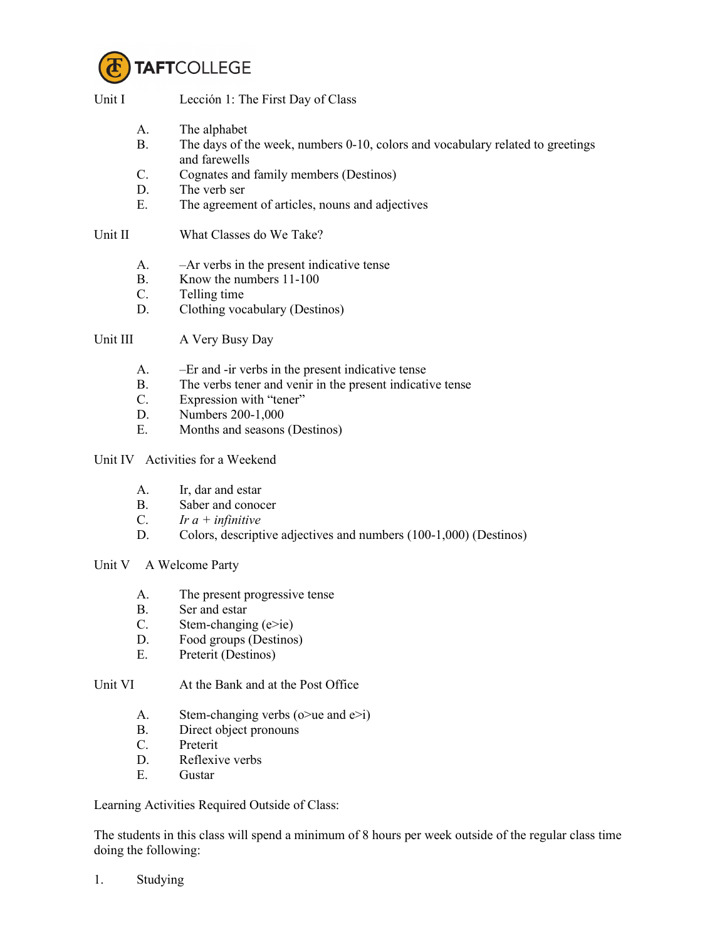

Unit I Lección 1: The First Day of Class

- A. The alphabet
- B. The days of the week, numbers 0-10, colors and vocabulary related to greetings and farewells
- C. Cognates and family members (Destinos)
- D. The verb ser
- E. The agreement of articles, nouns and adjectives

Unit II What Classes do We Take?

- A. –Ar verbs in the present indicative tense
- B. Know the numbers 11-100
- C. Telling time
- D. Clothing vocabulary (Destinos)

Unit III A Very Busy Day

- A. –Er and -ir verbs in the present indicative tense
- B. The verbs tener and venir in the present indicative tense
- C. Expression with "tener"
- D. Numbers 200-1,000
- E. Months and seasons (Destinos)

Unit IV Activities for a Weekend

- A. Ir, dar and estar
- B. Saber and conocer
- C. *Ir a + infinitive*
- D. Colors, descriptive adjectives and numbers (100-1,000) (Destinos)
- Unit V A Welcome Party
	- A. The present progressive tense
	- B. Ser and estar
	- C. Stem-changing (e>ie)
	- D. Food groups (Destinos)
	- E. Preterit (Destinos)

Unit VI At the Bank and at the Post Office

- A. Stem-changing verbs ( $o$ >ue and  $e$ >i)
- B. Direct object pronouns
- C. Preterit
- D. Reflexive verbs
- E. Gustar

Learning Activities Required Outside of Class:

The students in this class will spend a minimum of 8 hours per week outside of the regular class time doing the following:

1. Studying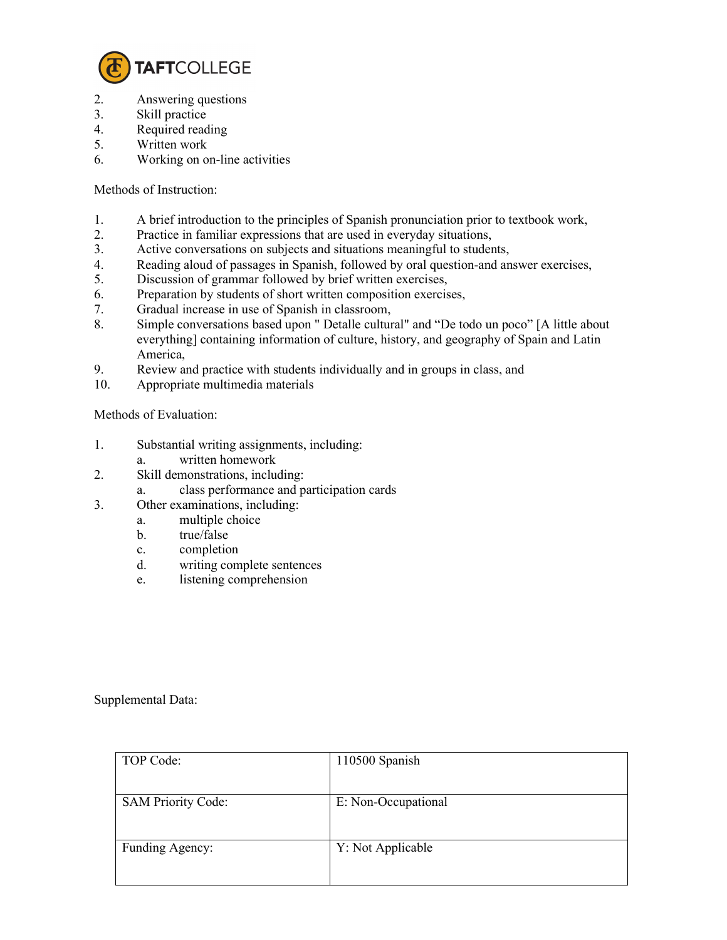

- 2. Answering questions
- 3. Skill practice
- 4. Required reading
- 5. Written work
- 6. Working on on-line activities

Methods of Instruction:

- 1. A brief introduction to the principles of Spanish pronunciation prior to textbook work,
- 2. Practice in familiar expressions that are used in everyday situations,
- 3. Active conversations on subjects and situations meaningful to students,
- 4. Reading aloud of passages in Spanish, followed by oral question-and answer exercises,
- 5. Discussion of grammar followed by brief written exercises,
- 6. Preparation by students of short written composition exercises,
- 7. Gradual increase in use of Spanish in classroom,
- 8. Simple conversations based upon " Detalle cultural" and "De todo un poco" [A little about everything] containing information of culture, history, and geography of Spain and Latin America,
- 9. Review and practice with students individually and in groups in class, and
- 10. Appropriate multimedia materials

Methods of Evaluation:

- 1. Substantial writing assignments, including:
	- a. written homework
- 2. Skill demonstrations, including:
	- a. class performance and participation cards
- 3. Other examinations, including:
	- a. multiple choice
		- b. true/false
		- c. completion
		- d. writing complete sentences
		- e. listening comprehension

Supplemental Data:

| TOP Code:                 | 110500 Spanish      |
|---------------------------|---------------------|
| <b>SAM Priority Code:</b> | E: Non-Occupational |
| Funding Agency:           | Y: Not Applicable   |